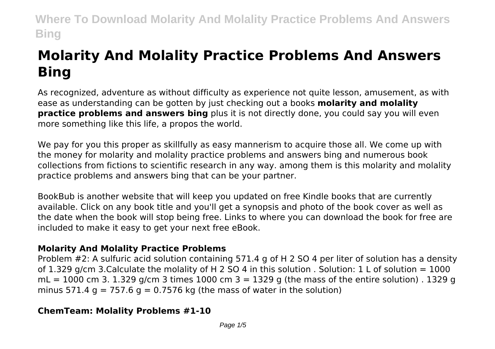# **Molarity And Molality Practice Problems And Answers Bing**

As recognized, adventure as without difficulty as experience not quite lesson, amusement, as with ease as understanding can be gotten by just checking out a books **molarity and molality practice problems and answers bing** plus it is not directly done, you could say you will even more something like this life, a propos the world.

We pay for you this proper as skillfully as easy mannerism to acquire those all. We come up with the money for molarity and molality practice problems and answers bing and numerous book collections from fictions to scientific research in any way. among them is this molarity and molality practice problems and answers bing that can be your partner.

BookBub is another website that will keep you updated on free Kindle books that are currently available. Click on any book title and you'll get a synopsis and photo of the book cover as well as the date when the book will stop being free. Links to where you can download the book for free are included to make it easy to get your next free eBook.

#### **Molarity And Molality Practice Problems**

Problem #2: A sulfuric acid solution containing 571.4 g of H 2 SO 4 per liter of solution has a density of 1.329 g/cm 3. Calculate the molality of H 2 SO 4 in this solution . Solution: 1 L of solution = 1000  $mL = 1000$  cm 3. 1.329 g/cm 3 times 1000 cm 3 = 1329 g (the mass of the entire solution) . 1329 g minus 571.4  $q = 757.6$   $q = 0.7576$  kg (the mass of water in the solution)

#### **ChemTeam: Molality Problems #1-10**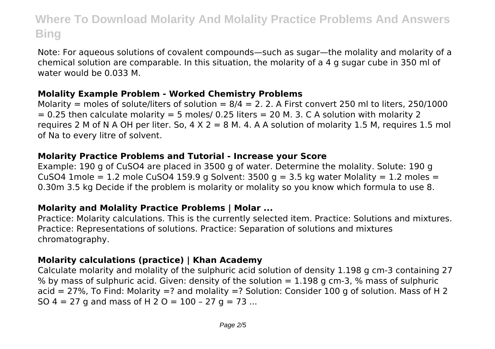Note: For aqueous solutions of covalent compounds—such as sugar—the molality and molarity of a chemical solution are comparable. In this situation, the molarity of a 4 g sugar cube in 350 ml of water would be 0.033 M.

#### **Molality Example Problem - Worked Chemistry Problems**

Molarity = moles of solute/liters of solution =  $8/4$  = 2. 2. A First convert 250 ml to liters, 250/1000  $= 0.25$  then calculate molarity  $= 5$  moles/ 0.25 liters  $= 20$  M, 3. C A solution with molarity 2 requires 2 M of N A OH per liter. So,  $4 \times 2 = 8$  M, 4, A A solution of molarity 1.5 M, requires 1.5 mol of Na to every litre of solvent.

#### **Molarity Practice Problems and Tutorial - Increase your Score**

Example: 190 g of CuSO4 are placed in 3500 g of water. Determine the molality. Solute: 190 g CuSO4 1mole = 1.2 mole CuSO4 159.9 g Solvent: 3500 g = 3.5 kg water Molality = 1.2 moles = 0.30m 3.5 kg Decide if the problem is molarity or molality so you know which formula to use 8.

#### **Molarity and Molality Practice Problems | Molar ...**

Practice: Molarity calculations. This is the currently selected item. Practice: Solutions and mixtures. Practice: Representations of solutions. Practice: Separation of solutions and mixtures chromatography.

#### **Molarity calculations (practice) | Khan Academy**

Calculate molarity and molality of the sulphuric acid solution of density 1.198 g cm-3 containing 27 % by mass of sulphuric acid. Given: density of the solution  $= 1.198$  g cm-3, % mass of sulphuric acid  $= 27\%$ , To Find: Molarity  $=$ ? and molality  $=$ ? Solution: Consider 100 g of solution. Mass of H 2 SO  $4 = 27$  g and mass of H  $2$  O = 100 - 27 g = 73 ...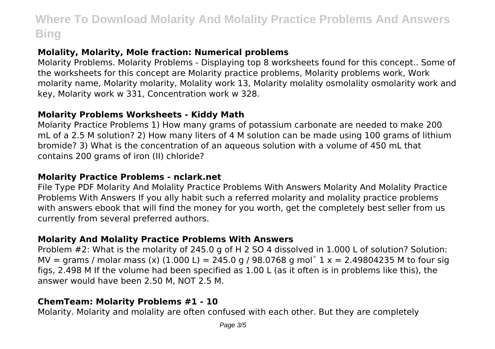### **Molality, Molarity, Mole fraction: Numerical problems**

Molarity Problems. Molarity Problems - Displaying top 8 worksheets found for this concept.. Some of the worksheets for this concept are Molarity practice problems, Molarity problems work, Work molarity name, Molarity molarity, Molality work 13, Molarity molality osmolality osmolarity work and key, Molarity work w 331, Concentration work w 328.

#### **Molarity Problems Worksheets - Kiddy Math**

Molarity Practice Problems 1) How many grams of potassium carbonate are needed to make 200 mL of a 2.5 M solution? 2) How many liters of 4 M solution can be made using 100 grams of lithium bromide? 3) What is the concentration of an aqueous solution with a volume of 450 mL that contains 200 grams of iron (II) chloride?

#### **Molarity Practice Problems - nclark.net**

File Type PDF Molarity And Molality Practice Problems With Answers Molarity And Molality Practice Problems With Answers If you ally habit such a referred molarity and molality practice problems with answers ebook that will find the money for you worth, get the completely best seller from us currently from several preferred authors.

#### **Molarity And Molality Practice Problems With Answers**

Problem #2: What is the molarity of 245.0 g of H 2 SO 4 dissolved in 1.000 L of solution? Solution: MV = grams / molar mass (x) (1.000 L) = 245.0 g / 98.0768 g mol<sup>-</sup> 1 x = 2.49804235 M to four sig figs, 2.498 M If the volume had been specified as 1.00 L (as it often is in problems like this), the answer would have been 2.50 M, NOT 2.5 M.

#### **ChemTeam: Molarity Problems #1 - 10**

Molarity. Molarity and molality are often confused with each other. But they are completely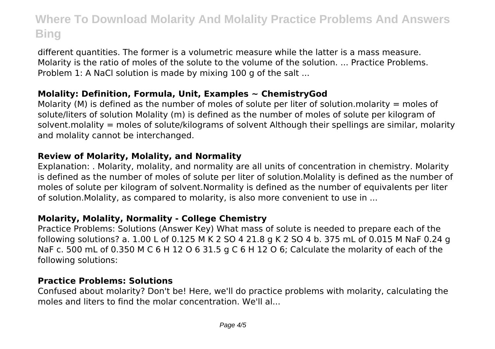different quantities. The former is a volumetric measure while the latter is a mass measure. Molarity is the ratio of moles of the solute to the volume of the solution. ... Practice Problems. Problem 1: A NaCl solution is made by mixing 100 g of the salt ...

#### **Molality: Definition, Formula, Unit, Examples ~ ChemistryGod**

Molarity (M) is defined as the number of moles of solute per liter of solution. molarity  $=$  moles of solute/liters of solution Molality (m) is defined as the number of moles of solute per kilogram of solvent.molality = moles of solute/kilograms of solvent Although their spellings are similar, molarity and molality cannot be interchanged.

#### **Review of Molarity, Molality, and Normality**

Explanation: . Molarity, molality, and normality are all units of concentration in chemistry. Molarity is defined as the number of moles of solute per liter of solution.Molality is defined as the number of moles of solute per kilogram of solvent.Normality is defined as the number of equivalents per liter of solution.Molality, as compared to molarity, is also more convenient to use in ...

#### **Molarity, Molality, Normality - College Chemistry**

Practice Problems: Solutions (Answer Key) What mass of solute is needed to prepare each of the following solutions? a. 1.00 L of 0.125 M K 2 SO 4 21.8 g K 2 SO 4 b. 375 mL of 0.015 M NaF 0.24 g NaF c. 500 mL of 0.350 M C 6 H 12 O 6 31.5 g C 6 H 12 O 6; Calculate the molarity of each of the following solutions:

#### **Practice Problems: Solutions**

Confused about molarity? Don't be! Here, we'll do practice problems with molarity, calculating the moles and liters to find the molar concentration. We'll al...